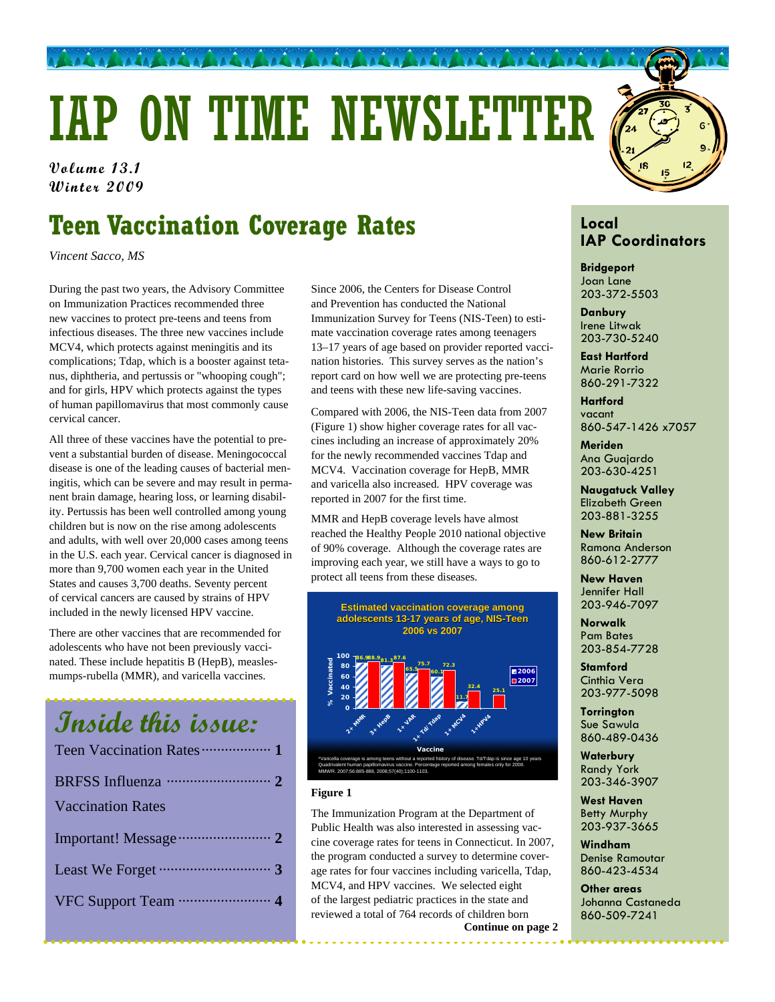# IAP ON TIME NEWSLETTER

**Volume 13.1 Volume 13.1 Winter 2009 Winter 2009** 

## **Teen Vaccination Coverage Rates**

*Vincent Sacco, MS*

During the past two years, the Advisory Committee on Immunization Practices recommended three new vaccines to protect pre-teens and teens from infectious diseases. The three new vaccines include MCV4, which protects against meningitis and its complications; Tdap, which is a booster against tetanus, diphtheria, and pertussis or "whooping cough"; and for girls, HPV which protects against the types of human papillomavirus that most commonly cause cervical cancer.

All three of these vaccines have the potential to prevent a substantial burden of disease. Meningococcal disease is one of the leading causes of bacterial meningitis, which can be severe and may result in permanent brain damage, hearing loss, or learning disability. Pertussis has been well controlled among young children but is now on the rise among adolescents and adults, with well over 20,000 cases among teens in the U.S. each year. Cervical cancer is diagnosed in more than 9,700 women each year in the United States and causes 3,700 deaths. Seventy percent of cervical cancers are caused by strains of HPV included in the newly licensed HPV vaccine.

There are other vaccines that are recommended for adolescents who have not been previously vaccinated. These include hepatitis B (HepB), measlesmumps-rubella (MMR), and varicella vaccines.

# **Inside this issue:**  Teen Vaccination Rates·················· **1** BRFSS Influenza ··························· **2** Vaccination Rates Important! Message························ **2** Least We Forget ····························· **3**  VFC Support Team ························ **4**

Since 2006, the Centers for Disease Control and Prevention has conducted the National Immunization Survey for Teens (NIS-Teen) to estimate vaccination coverage rates among teenagers 13–17 years of age based on provider reported vaccination histories. This survey serves as the nation's report card on how well we are protecting pre-teens and teens with these new life-saving vaccines.

Compared with 2006, the NIS-Teen data from 2007 (Figure 1) show higher coverage rates for all vaccines including an increase of approximately 20% for the newly recommended vaccines Tdap and MCV4. Vaccination coverage for HepB, MMR and varicella also increased. HPV coverage was reported in 2007 for the first time.

MMR and HepB coverage levels have almost reached the Healthy People 2010 national objective of 90% coverage. Although the coverage rates are improving each year, we still have a ways to go to protect all teens from these diseases.

> **Estimated vaccination coverage among Estimated vaccination coverage among adolescents 13 adolescents 13-17 years of age, NIS 17 years of age, NIS-Teen**

**2006 vs 2007 81.3 65.5 60.1 11.7 75.7 72.3 32.4 86.988.9 87.6 25.1 0 20 40 60 80 100 2<sup>x</sup> MMR 3+ Hep**B **12RR 1** To Mapp **1. MCVA 1.4 HPV** A **Vaccine % Vaccinated 2006 2007** \*Varicella coverage is among teens without a reported history of disease. Td/Tdap is since age 10 years Quadrivalent human papillomavirus vaccine. Percentage reported among females only for 2008. MMWR. 2007;56:885-888, 2008;57(40);1100-1103.

### **Figure 1**

The Immunization Program at the Department of Public Health was also interested in assessing vaccine coverage rates for teens in Connecticut. In 2007, the program conducted a survey to determine coverage rates for four vaccines including varicella, Tdap, MCV4, and HPV vaccines. We selected eight of the largest pediatric practices in the state and reviewed a total of 764 records of children born **Continue on page 2** 

### **Local IAP Coordinators**

**Bridgeport**  Joan Lane 203-372-5503

**Danbury**  Irene Litwak 203-730-5240

**East Hartford**  Marie Rorrio 860-291-7322

**Hartford**  vacant 860-547-1426 x7057

**Meriden**  Ana Guajardo 203-630-4251

**Naugatuck Valley**  Elizabeth Green 203-881-3255

**New Britain**  Ramona Anderson 860-612-2777

**New Haven**  Jennifer Hall 203-946-7097

**Norwalk**  Pam Bates 203-854-7728

**Stamford**  Cinthia Vera 203-977-5098

**Torrington**  Sue Sawula 860-489-0436

**Waterbury**  Randy York 203-346-3907

**West Haven**  Betty Murphy 203-937-3665

**Windham**  Denise Ramoutar 860-423-4534

**Other areas**  Johanna Castaneda 860-509-7241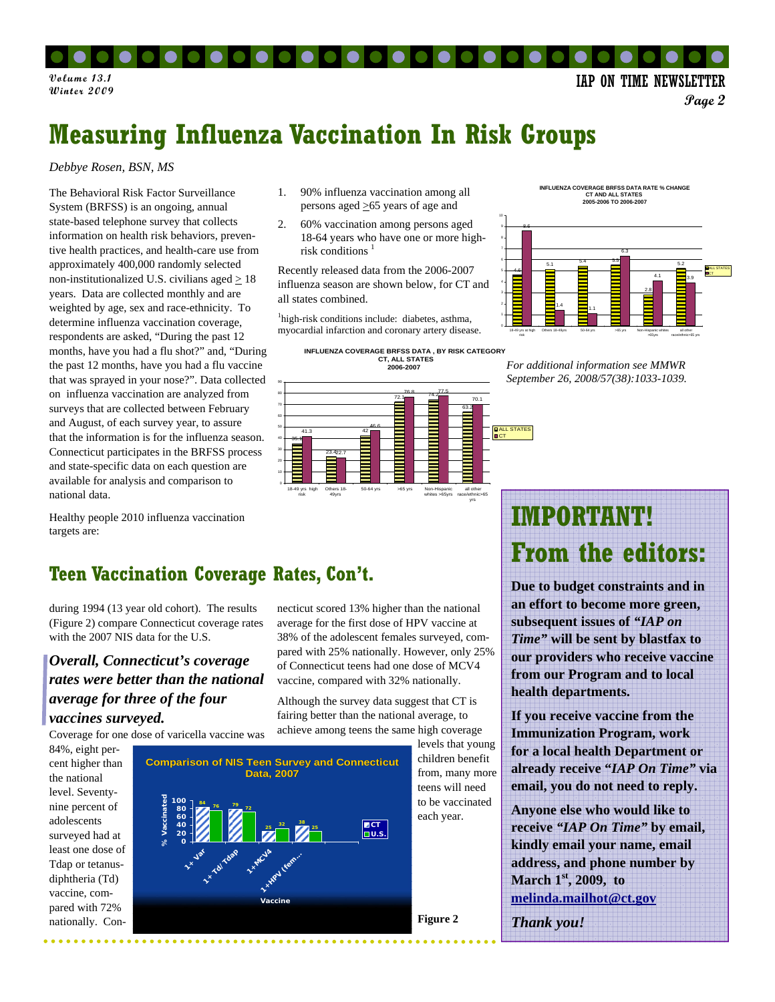**Volume 13.1 IAP ON TIME NEWSLETTER** 

**Page 2** 

### **Measuring Influenza Vaccination In Risk Groups**

### *Debbye Rosen, BSN, MS*

The Behavioral Risk Factor Surveillance System (BRFSS) is an ongoing, annual state-based telephone survey that collects information on health risk behaviors, preventive health practices, and health-care use from approximately 400,000 randomly selected non-institutionalized U.S. civilians aged  $\geq 18$ years. Data are collected monthly and are weighted by age, sex and race-ethnicity. To determine influenza vaccination coverage, respondents are asked, "During the past 12 months, have you had a flu shot?" and, "During the past 12 months, have you had a flu vaccine that was sprayed in your nose?". Data collected on influenza vaccination are analyzed from surveys that are collected between February and August, of each survey year, to assure that the information is for the influenza season. Connecticut participates in the BRFSS process and state-specific data on each question are available for analysis and comparison to national data.

Healthy people 2010 influenza vaccination targets are:

- 1. 90% influenza vaccination among all persons aged  $\geq 65$  years of age and
- 2. 60% vaccination among persons aged 18-64 years who have one or more highrisk conditions $1$

Recently released data from the 2006-2007 influenza season are shown below, for CT and all states combined.

<sup>1</sup>high-risk conditions include: diabetes, asthma, myocardial infarction and coronary artery disease.



necticut scored 13% higher than the national average for the first dose of HPV vaccine at 38% of the adolescent females surveyed, compared with 25% nationally. However, only 25% of Connecticut teens had one dose of MCV4 vaccine, compared with 32% nationally. Although the survey data suggest that CT is fairing better than the national average, to

**INFLUENZA COVERAGE BRFSS DATA RATE % CHANGE CT AND ALL STATES 2005-2006 TO 2006-2007**





### **Teen Vaccination Coverage Rates, Con't.**

during 1994 (13 year old cohort). The results (Figure 2) compare Connecticut coverage rates with the 2007 NIS data for the U.S.

### *Overall, Connecticut's coverage rates were better than the national average for three of the four vaccines surveyed.*

Coverage for one dose of varicella vaccine was

84%, eight percent higher than the national level. Seventynine percent of adolescents surveyed had at least one dose of Tdap or tetanusdiphtheria (Td) vaccine, compared with 72% nationally. Con-



# **IMPORTANT! From the editors:**

**Due to budget constraints and in an effort to become more green, subsequent issues of** *"IAP on Time"* **will be sent by blastfax to our providers who receive vaccine from our Program and to local health departments.** 

**If you receive vaccine from the Immunization Program, work for a local health Department or already receive "***IAP On Time"* **via email, you do not need to reply.** 

**Anyone else who would like to receive** *"IAP On Time"* **by email, kindly email your name, email address, and phone number by March 1st, 2009, to melinda.mailhot@ct.gov** 

*Thank you!*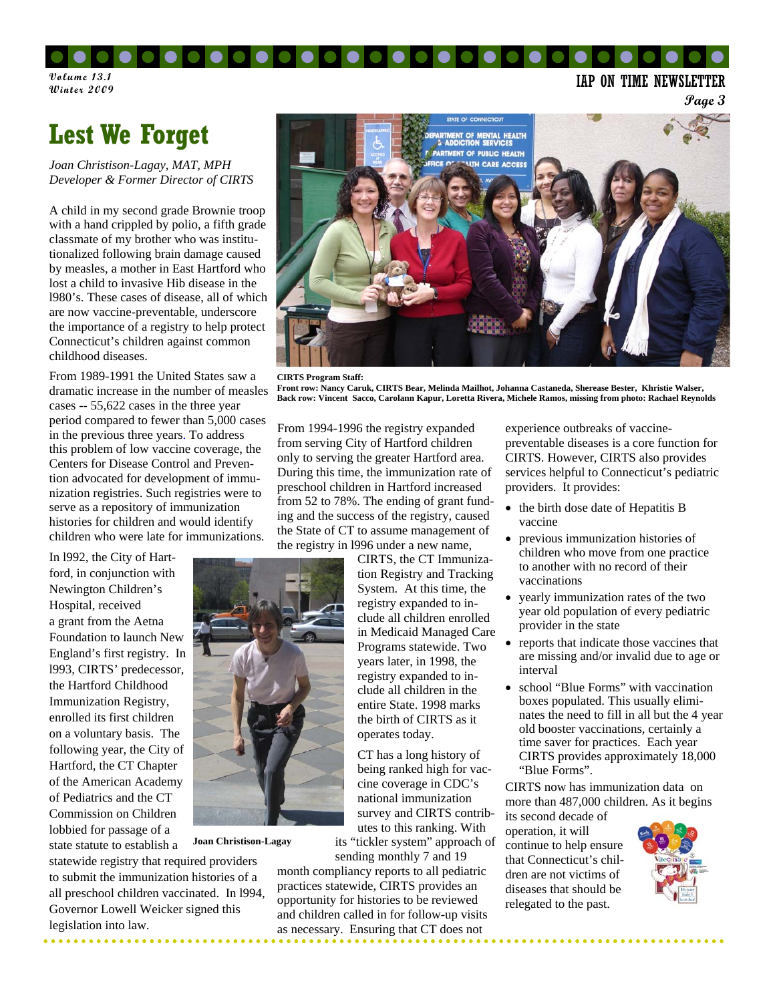#### . . . . . .  $\bullet$  .  $\bullet$  .

**Volume 13.1 Winter 2009** 

IAP ON TIME NEWSLETTER

**Page 3** 

### **Lest We Forget**

*Joan Christison-Lagay, MAT, MPH Developer & Former Director of CIRTS*

A child in my second grade Brownie troop with a hand crippled by polio, a fifth grade classmate of my brother who was institutionalized following brain damage caused by measles, a mother in East Hartford who lost a child to invasive Hib disease in the l980's. These cases of disease, all of which are now vaccine-preventable, underscore the importance of a registry to help protect Connecticut's children against common childhood diseases.

From 1989-1991 the United States saw a dramatic increase in the number of measles cases -- 55,622 cases in the three year period compared to fewer than 5,000 cases in the previous three years. To address this problem of low vaccine coverage, the Centers for Disease Control and Prevention advocated for development of immunization registries. Such registries were to serve as a repository of immunization histories for children and would identify children who were late for immunizations.

In l992, the City of Hartford, in conjunction with Newington Children's Hospital, received a grant from the Aetna Foundation to launch New England's first registry. In l993, CIRTS' predecessor, the Hartford Childhood Immunization Registry, enrolled its first children on a voluntary basis. The following year, the City of Hartford, the CT Chapter of the American Academy of Pediatrics and the CT Commission on Children lobbied for passage of a state statute to establish a



**Joan Christison-Lagay**

statewide registry that required providers to submit the immunization histories of a all preschool children vaccinated. In l994, Governor Lowell Weicker signed this legislation into law.



**CIRTS Program Staff: Front row: Nancy Caruk, CIRTS Bear, Melinda Mailhot, Johanna Castaneda, Sherease Bester, Khristie Walser, Back row: Vincent Sacco, Carolann Kapur, Loretta Rivera, Michele Ramos, missing from photo: Rachael Reynolds** 

From 1994-1996 the registry expanded from serving City of Hartford children only to serving the greater Hartford area. During this time, the immunization rate of preschool children in Hartford increased from 52 to 78%. The ending of grant funding and the success of the registry, caused the State of CT to assume management of the registry in l996 under a new name,

> CIRTS, the CT Immunization Registry and Tracking System. At this time, the registry expanded to include all children enrolled in Medicaid Managed Care Programs statewide. Two years later, in 1998, the registry expanded to include all children in the entire State. 1998 marks the birth of CIRTS as it operates today.

> CT has a long history of being ranked high for vaccine coverage in CDC's national immunization survey and CIRTS contributes to this ranking. With

its "tickler system" approach of sending monthly 7 and 19

month compliancy reports to all pediatric practices statewide, CIRTS provides an opportunity for histories to be reviewed and children called in for follow-up visits as necessary. Ensuring that CT does not

experience outbreaks of vaccinepreventable diseases is a core function for CIRTS. However, CIRTS also provides services helpful to Connecticut's pediatric providers. It provides:

- the birth dose date of Hepatitis B vaccine
- previous immunization histories of children who move from one practice to another with no record of their vaccinations
- yearly immunization rates of the two year old population of every pediatric provider in the state
- reports that indicate those vaccines that are missing and/or invalid due to age or interval
- school "Blue Forms" with vaccination boxes populated. This usually eliminates the need to fill in all but the 4 year old booster vaccinations, certainly a time saver for practices. Each year CIRTS provides approximately 18,000 "Blue Forms".

CIRTS now has immunization data on more than 487,000 children. As it begins

its second decade of operation, it will continue to help ensure that Connecticut's children are not victims of diseases that should be relegated to the past.